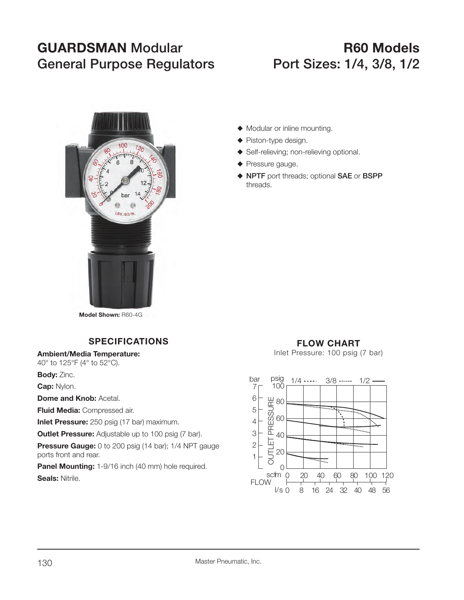# **GUARDSMAN** Modular **CONSTRUSS RAN** General Purpose Regulators Port Sizes: 1/4, 3/8, 1/2



**Model Shown:** R60-4G

### **SPECIFICATIONS**

**Ambient/Media Temperature:**

40° to 125°F (4° to 52°C).

**Body:** Zinc.

**Cap:** Nylon.

**Dome and Knob: Acetal.** 

**Fluid Media:** Compressed air.

**Inlet Pressure:** 250 psig (17 bar) maximum.

**Outlet Pressure:** Adjustable up to 100 psig (7 bar).

**Pressure Gauge:** 0 to 200 psig (14 bar); 1/4 NPT gauge ports front and rear.

**Panel Mounting:** 1-9/16 inch (40 mm) hole required. **Seals:** Nitrile.

- $\blacklozenge$  Modular or inline mounting.
- $\blacklozenge$  Piston-type design.
- ◆ Self-relieving; non-relieving optional.
- $\blacklozenge$  Pressure gauge.
- S **NPTF** port threads; optional **SAE** or **BSPP**  threads.

## **FLOW CHART**

Inlet Pressure: 100 psig (7 bar)